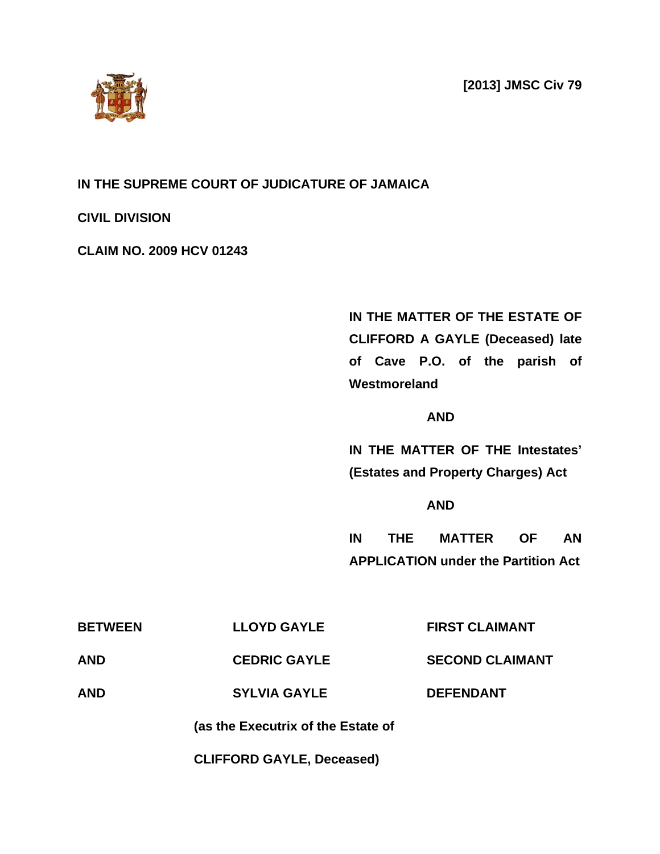**[2013] JMSC Civ 79**



## **IN THE SUPREME COURT OF JUDICATURE OF JAMAICA**

### **CIVIL DIVISION**

### **CLAIM NO. 2009 HCV 01243**

# **IN THE MATTER OF THE ESTATE OF CLIFFORD A GAYLE (Deceased) late of Cave P.O. of the parish of Westmoreland**

### **AND**

**IN THE MATTER OF THE Intestates' (Estates and Property Charges) Act**

### **AND**

**IN THE MATTER OF AN APPLICATION under the Partition Act**

|                | (as the Executrix of the Estate of |                        |
|----------------|------------------------------------|------------------------|
| <b>AND</b>     | <b>SYLVIA GAYLE</b>                | <b>DEFENDANT</b>       |
| <b>AND</b>     | <b>CEDRIC GAYLE</b>                | <b>SECOND CLAIMANT</b> |
| <b>BETWEEN</b> | <b>LLOYD GAYLE</b>                 | <b>FIRST CLAIMANT</b>  |

**CLIFFORD GAYLE, Deceased)**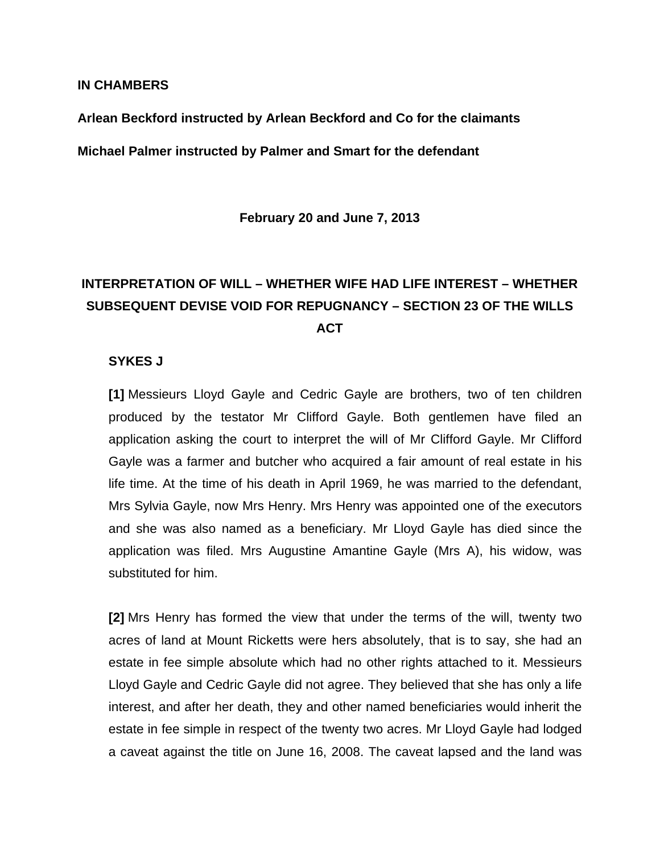#### **IN CHAMBERS**

**Arlean Beckford instructed by Arlean Beckford and Co for the claimants**

**Michael Palmer instructed by Palmer and Smart for the defendant**

**February 20 and June 7, 2013**

# **INTERPRETATION OF WILL – WHETHER WIFE HAD LIFE INTEREST – WHETHER SUBSEQUENT DEVISE VOID FOR REPUGNANCY – SECTION 23 OF THE WILLS ACT**

### **SYKES J**

**[1]** Messieurs Lloyd Gayle and Cedric Gayle are brothers, two of ten children produced by the testator Mr Clifford Gayle. Both gentlemen have filed an application asking the court to interpret the will of Mr Clifford Gayle. Mr Clifford Gayle was a farmer and butcher who acquired a fair amount of real estate in his life time. At the time of his death in April 1969, he was married to the defendant, Mrs Sylvia Gayle, now Mrs Henry. Mrs Henry was appointed one of the executors and she was also named as a beneficiary. Mr Lloyd Gayle has died since the application was filed. Mrs Augustine Amantine Gayle (Mrs A), his widow, was substituted for him.

**[2]** Mrs Henry has formed the view that under the terms of the will, twenty two acres of land at Mount Ricketts were hers absolutely, that is to say, she had an estate in fee simple absolute which had no other rights attached to it. Messieurs Lloyd Gayle and Cedric Gayle did not agree. They believed that she has only a life interest, and after her death, they and other named beneficiaries would inherit the estate in fee simple in respect of the twenty two acres. Mr Lloyd Gayle had lodged a caveat against the title on June 16, 2008. The caveat lapsed and the land was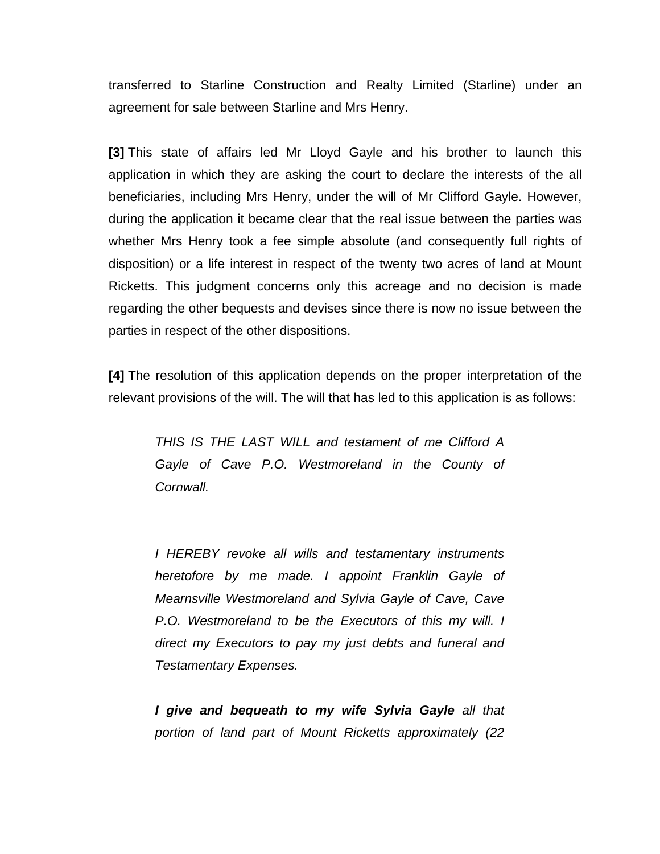transferred to Starline Construction and Realty Limited (Starline) under an agreement for sale between Starline and Mrs Henry.

**[3]** This state of affairs led Mr Lloyd Gayle and his brother to launch this application in which they are asking the court to declare the interests of the all beneficiaries, including Mrs Henry, under the will of Mr Clifford Gayle. However, during the application it became clear that the real issue between the parties was whether Mrs Henry took a fee simple absolute (and consequently full rights of disposition) or a life interest in respect of the twenty two acres of land at Mount Ricketts. This judgment concerns only this acreage and no decision is made regarding the other bequests and devises since there is now no issue between the parties in respect of the other dispositions.

**[4]** The resolution of this application depends on the proper interpretation of the relevant provisions of the will. The will that has led to this application is as follows:

*THIS IS THE LAST WILL and testament of me Clifford A Gayle of Cave P.O. Westmoreland in the County of Cornwall.*

*I HEREBY revoke all wills and testamentary instruments heretofore by me made. I appoint Franklin Gayle of Mearnsville Westmoreland and Sylvia Gayle of Cave, Cave P.O. Westmoreland to be the Executors of this my will. I direct my Executors to pay my just debts and funeral and Testamentary Expenses.* 

*I give and bequeath to my wife Sylvia Gayle all that portion of land part of Mount Ricketts approximately (22*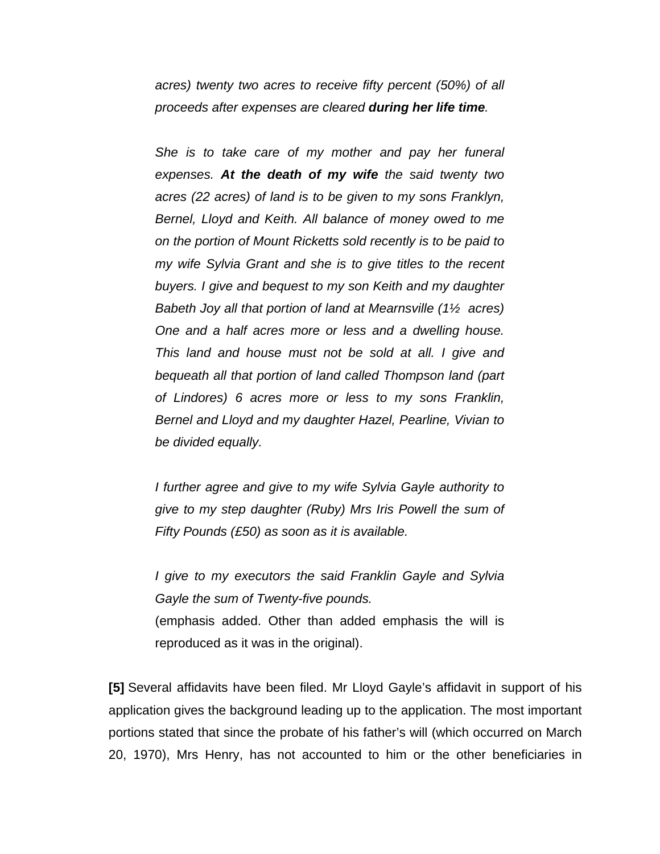*acres) twenty two acres to receive fifty percent (50%) of all proceeds after expenses are cleared during her life time.*

*She is to take care of my mother and pay her funeral expenses. At the death of my wife the said twenty two acres (22 acres) of land is to be given to my sons Franklyn, Bernel, Lloyd and Keith. All balance of money owed to me on the portion of Mount Ricketts sold recently is to be paid to my wife Sylvia Grant and she is to give titles to the recent buyers. I give and bequest to my son Keith and my daughter Babeth Joy all that portion of land at Mearnsville (1½ acres) One and a half acres more or less and a dwelling house. This land and house must not be sold at all. I give and bequeath all that portion of land called Thompson land (part of Lindores) 6 acres more or less to my sons Franklin, Bernel and Lloyd and my daughter Hazel, Pearline, Vivian to be divided equally.* 

*I further agree and give to my wife Sylvia Gayle authority to give to my step daughter (Ruby) Mrs Iris Powell the sum of Fifty Pounds (£50) as soon as it is available.* 

*I give to my executors the said Franklin Gayle and Sylvia Gayle the sum of Twenty-five pounds.* (emphasis added. Other than added emphasis the will is reproduced as it was in the original).

**[5]** Several affidavits have been filed. Mr Lloyd Gayle's affidavit in support of his application gives the background leading up to the application. The most important portions stated that since the probate of his father's will (which occurred on March 20, 1970), Mrs Henry, has not accounted to him or the other beneficiaries in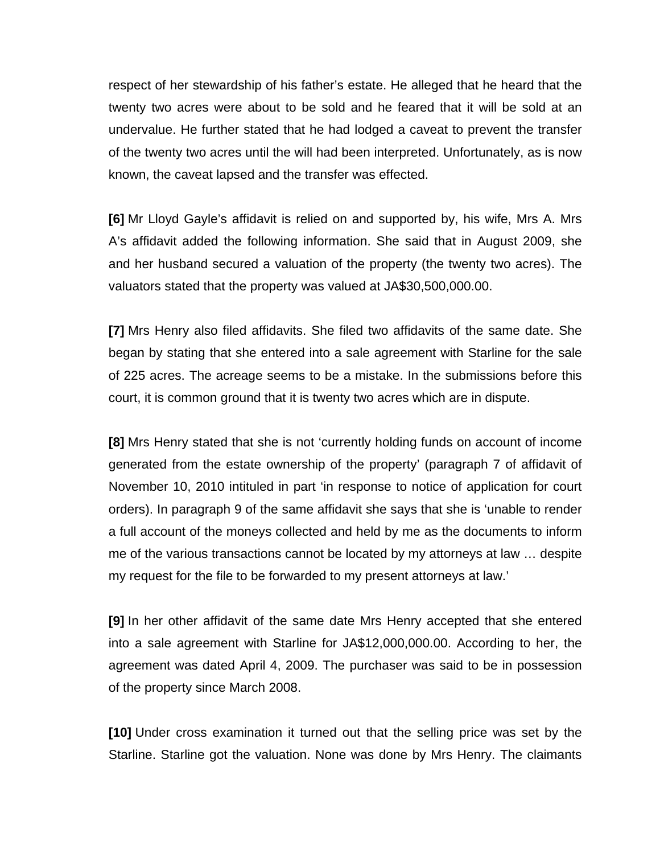respect of her stewardship of his father's estate. He alleged that he heard that the twenty two acres were about to be sold and he feared that it will be sold at an undervalue. He further stated that he had lodged a caveat to prevent the transfer of the twenty two acres until the will had been interpreted. Unfortunately, as is now known, the caveat lapsed and the transfer was effected.

**[6]** Mr Lloyd Gayle's affidavit is relied on and supported by, his wife, Mrs A. Mrs A's affidavit added the following information. She said that in August 2009, she and her husband secured a valuation of the property (the twenty two acres). The valuators stated that the property was valued at JA\$30,500,000.00.

**[7]** Mrs Henry also filed affidavits. She filed two affidavits of the same date. She began by stating that she entered into a sale agreement with Starline for the sale of 225 acres. The acreage seems to be a mistake. In the submissions before this court, it is common ground that it is twenty two acres which are in dispute.

**[8]** Mrs Henry stated that she is not 'currently holding funds on account of income generated from the estate ownership of the property' (paragraph 7 of affidavit of November 10, 2010 intituled in part 'in response to notice of application for court orders). In paragraph 9 of the same affidavit she says that she is 'unable to render a full account of the moneys collected and held by me as the documents to inform me of the various transactions cannot be located by my attorneys at law … despite my request for the file to be forwarded to my present attorneys at law.'

**[9]** In her other affidavit of the same date Mrs Henry accepted that she entered into a sale agreement with Starline for JA\$12,000,000.00. According to her, the agreement was dated April 4, 2009. The purchaser was said to be in possession of the property since March 2008.

**[10]** Under cross examination it turned out that the selling price was set by the Starline. Starline got the valuation. None was done by Mrs Henry. The claimants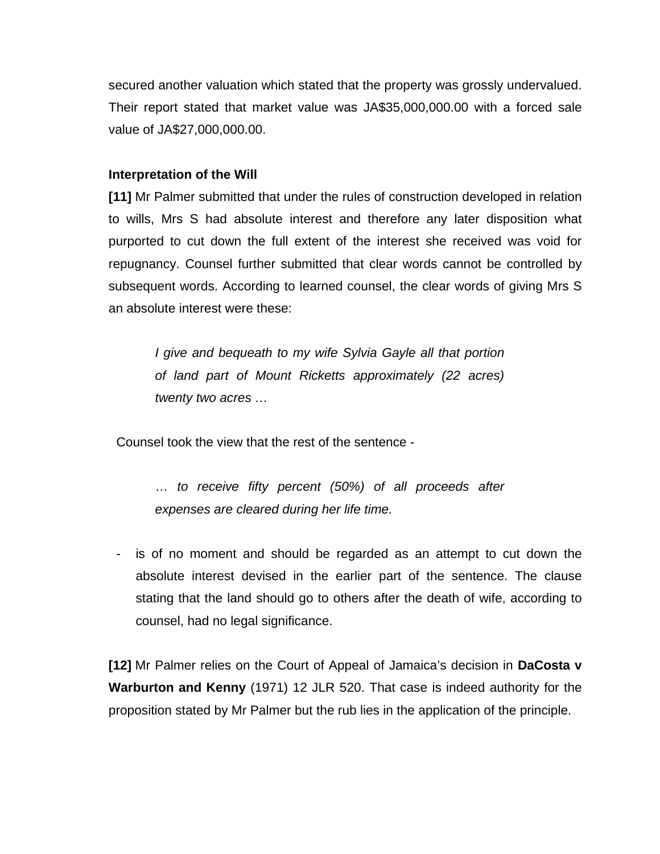secured another valuation which stated that the property was grossly undervalued. Their report stated that market value was JA\$35,000,000.00 with a forced sale value of JA\$27,000,000.00.

### **Interpretation of the Will**

**[11]** Mr Palmer submitted that under the rules of construction developed in relation to wills, Mrs S had absolute interest and therefore any later disposition what purported to cut down the full extent of the interest she received was void for repugnancy. Counsel further submitted that clear words cannot be controlled by subsequent words. According to learned counsel, the clear words of giving Mrs S an absolute interest were these:

*I give and bequeath to my wife Sylvia Gayle all that portion of land part of Mount Ricketts approximately (22 acres) twenty two acres …*

Counsel took the view that the rest of the sentence -

… *to receive fifty percent (50%) of all proceeds after expenses are cleared during her life time.*

- is of no moment and should be regarded as an attempt to cut down the absolute interest devised in the earlier part of the sentence. The clause stating that the land should go to others after the death of wife, according to counsel, had no legal significance.

**[12]** Mr Palmer relies on the Court of Appeal of Jamaica's decision in **DaCosta v Warburton and Kenny** (1971) 12 JLR 520. That case is indeed authority for the proposition stated by Mr Palmer but the rub lies in the application of the principle.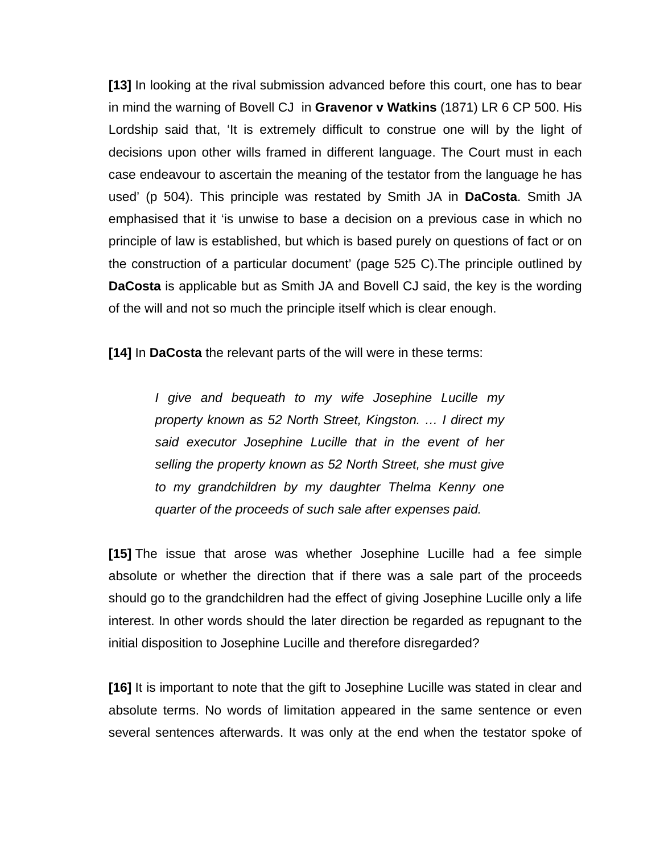**[13]** In looking at the rival submission advanced before this court, one has to bear in mind the warning of Bovell CJ in **Gravenor v Watkins** (1871) LR 6 CP 500. His Lordship said that, 'It is extremely difficult to construe one will by the light of decisions upon other wills framed in different language. The Court must in each case endeavour to ascertain the meaning of the testator from the language he has used' (p 504). This principle was restated by Smith JA in **DaCosta**. Smith JA emphasised that it 'is unwise to base a decision on a previous case in which no principle of law is established, but which is based purely on questions of fact or on the construction of a particular document' (page 525 C).The principle outlined by **DaCosta** is applicable but as Smith JA and Bovell CJ said, the key is the wording of the will and not so much the principle itself which is clear enough.

**[14]** In **DaCosta** the relevant parts of the will were in these terms:

*I give and bequeath to my wife Josephine Lucille my property known as 52 North Street, Kingston. … I direct my said executor Josephine Lucille that in the event of her selling the property known as 52 North Street, she must give to my grandchildren by my daughter Thelma Kenny one quarter of the proceeds of such sale after expenses paid.* 

**[15]** The issue that arose was whether Josephine Lucille had a fee simple absolute or whether the direction that if there was a sale part of the proceeds should go to the grandchildren had the effect of giving Josephine Lucille only a life interest. In other words should the later direction be regarded as repugnant to the initial disposition to Josephine Lucille and therefore disregarded?

**[16]** It is important to note that the gift to Josephine Lucille was stated in clear and absolute terms. No words of limitation appeared in the same sentence or even several sentences afterwards. It was only at the end when the testator spoke of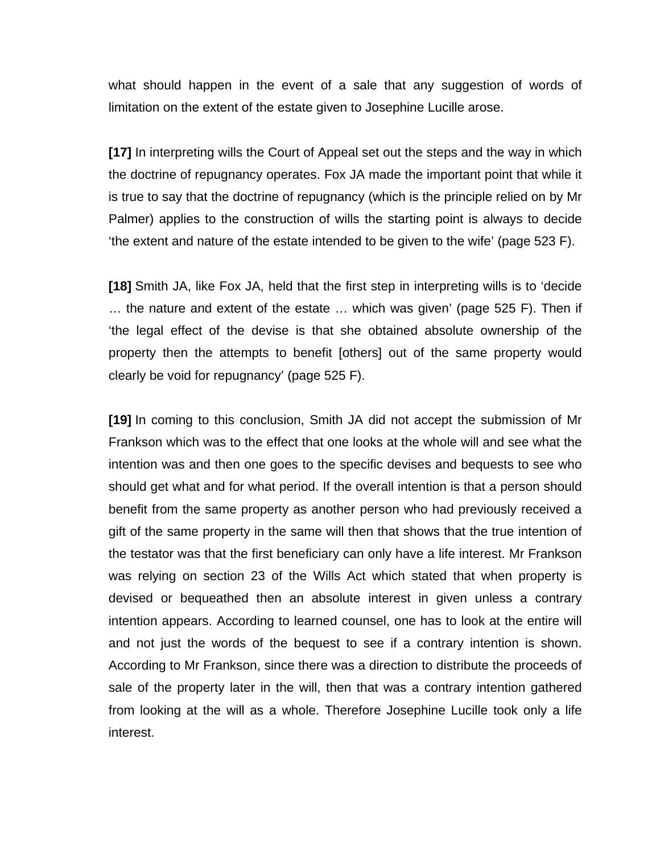what should happen in the event of a sale that any suggestion of words of limitation on the extent of the estate given to Josephine Lucille arose.

**[17]** In interpreting wills the Court of Appeal set out the steps and the way in which the doctrine of repugnancy operates. Fox JA made the important point that while it is true to say that the doctrine of repugnancy (which is the principle relied on by Mr Palmer) applies to the construction of wills the starting point is always to decide 'the extent and nature of the estate intended to be given to the wife' (page 523 F).

**[18]** Smith JA, like Fox JA, held that the first step in interpreting wills is to 'decide … the nature and extent of the estate … which was given' (page 525 F). Then if 'the legal effect of the devise is that she obtained absolute ownership of the property then the attempts to benefit [others] out of the same property would clearly be void for repugnancy' (page 525 F).

**[19]** In coming to this conclusion, Smith JA did not accept the submission of Mr Frankson which was to the effect that one looks at the whole will and see what the intention was and then one goes to the specific devises and bequests to see who should get what and for what period. If the overall intention is that a person should benefit from the same property as another person who had previously received a gift of the same property in the same will then that shows that the true intention of the testator was that the first beneficiary can only have a life interest. Mr Frankson was relying on section 23 of the Wills Act which stated that when property is devised or bequeathed then an absolute interest in given unless a contrary intention appears. According to learned counsel, one has to look at the entire will and not just the words of the bequest to see if a contrary intention is shown. According to Mr Frankson, since there was a direction to distribute the proceeds of sale of the property later in the will, then that was a contrary intention gathered from looking at the will as a whole. Therefore Josephine Lucille took only a life interest.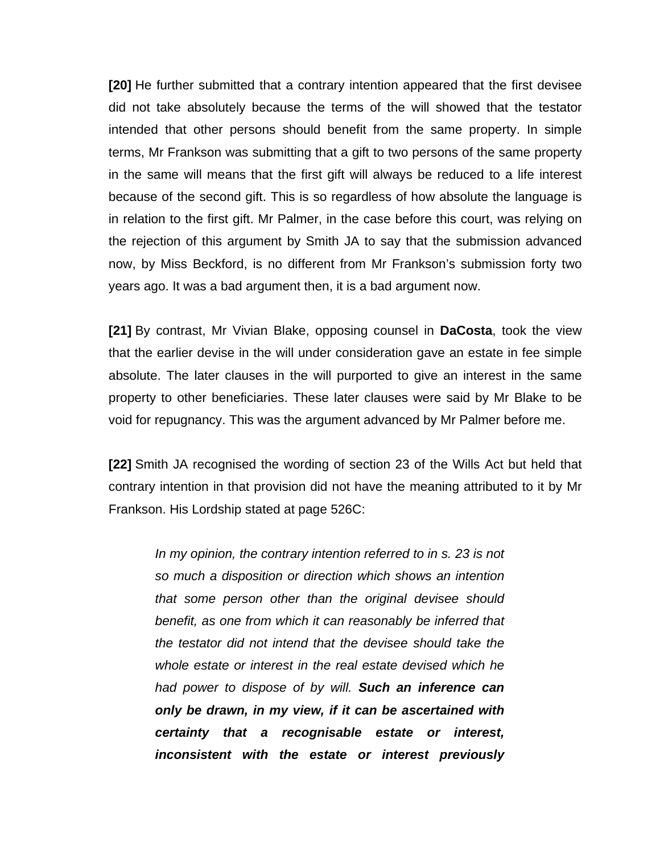**[20]** He further submitted that a contrary intention appeared that the first devisee did not take absolutely because the terms of the will showed that the testator intended that other persons should benefit from the same property. In simple terms, Mr Frankson was submitting that a gift to two persons of the same property in the same will means that the first gift will always be reduced to a life interest because of the second gift. This is so regardless of how absolute the language is in relation to the first gift. Mr Palmer, in the case before this court, was relying on the rejection of this argument by Smith JA to say that the submission advanced now, by Miss Beckford, is no different from Mr Frankson's submission forty two years ago. It was a bad argument then, it is a bad argument now.

**[21]** By contrast, Mr Vivian Blake, opposing counsel in **DaCosta**, took the view that the earlier devise in the will under consideration gave an estate in fee simple absolute. The later clauses in the will purported to give an interest in the same property to other beneficiaries. These later clauses were said by Mr Blake to be void for repugnancy. This was the argument advanced by Mr Palmer before me.

**[22]** Smith JA recognised the wording of section 23 of the Wills Act but held that contrary intention in that provision did not have the meaning attributed to it by Mr Frankson. His Lordship stated at page 526C:

*In my opinion, the contrary intention referred to in s. 23 is not so much a disposition or direction which shows an intention that some person other than the original devisee should benefit, as one from which it can reasonably be inferred that the testator did not intend that the devisee should take the whole estate or interest in the real estate devised which he had power to dispose of by will. Such an inference can only be drawn, in my view, if it can be ascertained with certainty that a recognisable estate or interest, inconsistent with the estate or interest previously*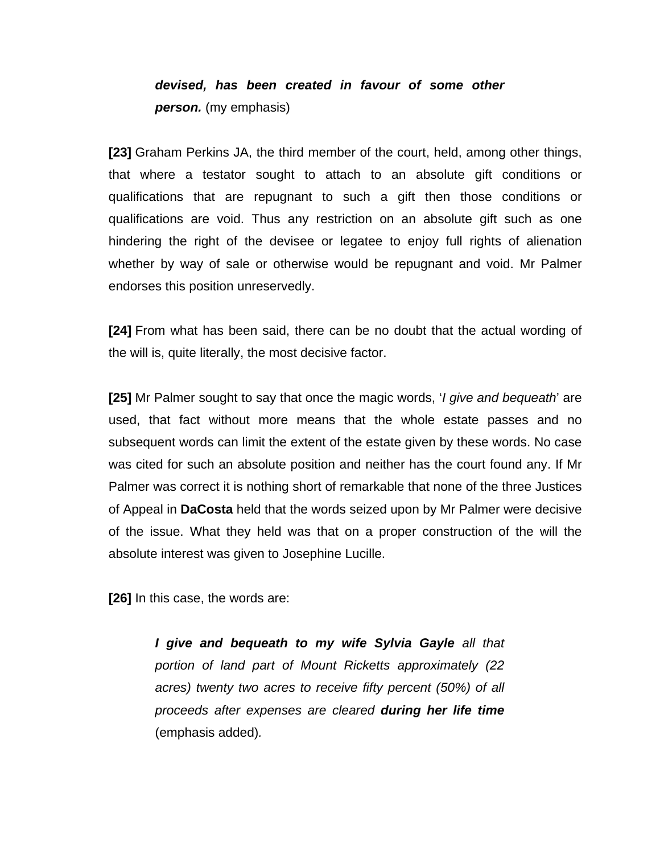# *devised, has been created in favour of some other person.* (my emphasis)

**[23]** Graham Perkins JA, the third member of the court, held, among other things, that where a testator sought to attach to an absolute gift conditions or qualifications that are repugnant to such a gift then those conditions or qualifications are void. Thus any restriction on an absolute gift such as one hindering the right of the devisee or legatee to enjoy full rights of alienation whether by way of sale or otherwise would be repugnant and void. Mr Palmer endorses this position unreservedly.

**[24]** From what has been said, there can be no doubt that the actual wording of the will is, quite literally, the most decisive factor.

**[25]** Mr Palmer sought to say that once the magic words, '*I give and bequeath*' are used, that fact without more means that the whole estate passes and no subsequent words can limit the extent of the estate given by these words. No case was cited for such an absolute position and neither has the court found any. If Mr Palmer was correct it is nothing short of remarkable that none of the three Justices of Appeal in **DaCosta** held that the words seized upon by Mr Palmer were decisive of the issue. What they held was that on a proper construction of the will the absolute interest was given to Josephine Lucille.

**[26]** In this case, the words are:

*I give and bequeath to my wife Sylvia Gayle all that portion of land part of Mount Ricketts approximately (22 acres) twenty two acres to receive fifty percent (50%) of all proceeds after expenses are cleared during her life time* (emphasis added)*.*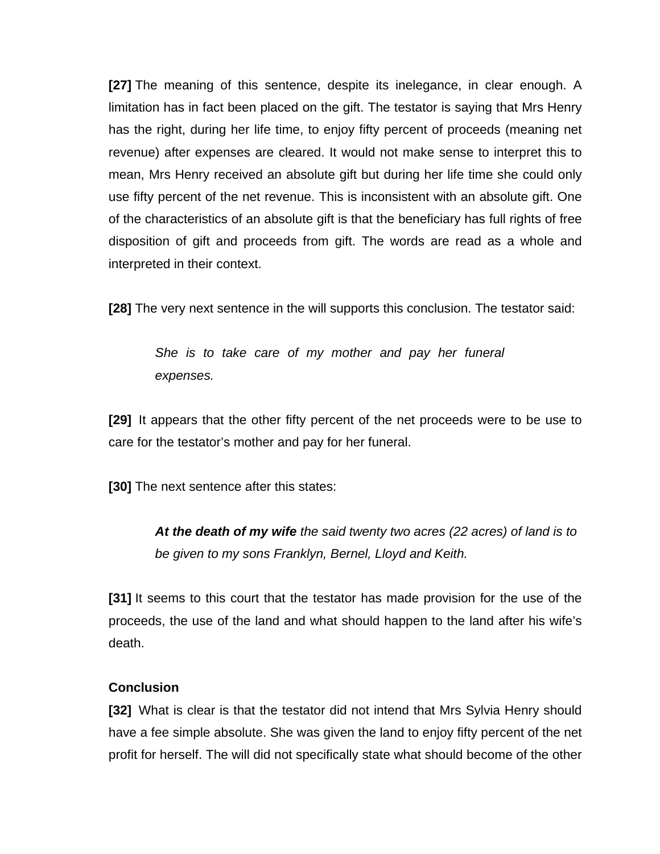**[27]** The meaning of this sentence, despite its inelegance, in clear enough. A limitation has in fact been placed on the gift. The testator is saying that Mrs Henry has the right, during her life time, to enjoy fifty percent of proceeds (meaning net revenue) after expenses are cleared. It would not make sense to interpret this to mean, Mrs Henry received an absolute gift but during her life time she could only use fifty percent of the net revenue. This is inconsistent with an absolute gift. One of the characteristics of an absolute gift is that the beneficiary has full rights of free disposition of gift and proceeds from gift. The words are read as a whole and interpreted in their context.

**[28]** The very next sentence in the will supports this conclusion. The testator said:

*She is to take care of my mother and pay her funeral expenses.*

**[29]** It appears that the other fifty percent of the net proceeds were to be use to care for the testator's mother and pay for her funeral.

**[30]** The next sentence after this states:

*At the death of my wife the said twenty two acres (22 acres) of land is to be given to my sons Franklyn, Bernel, Lloyd and Keith.*

**[31]** It seems to this court that the testator has made provision for the use of the proceeds, the use of the land and what should happen to the land after his wife's death.

### **Conclusion**

**[32]** What is clear is that the testator did not intend that Mrs Sylvia Henry should have a fee simple absolute. She was given the land to enjoy fifty percent of the net profit for herself. The will did not specifically state what should become of the other